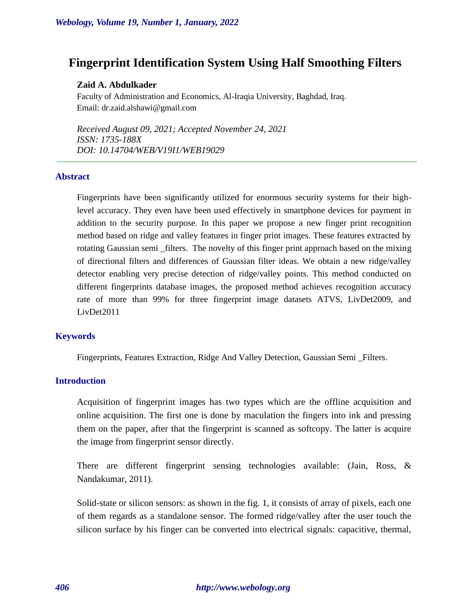# **Fingerprint Identification System Using Half Smoothing Filters**

## **Zaid A. Abdulkader**

Faculty of Administration and Economics, Al-Iraqia University, Baghdad, Iraq. Email: dr.zaid.alshawi@gmail.com

*Received August 09, 2021; Accepted November 24, 2021 ISSN: 1735-188X DOI: 10.14704/WEB/V19I1/WEB19029*

#### **Abstract**

Fingerprints have been significantly utilized for enormous security systems for their highlevel accuracy. They even have been used effectively in smartphone devices for payment in addition to the security purpose. In this paper we propose a new finger print recognition method based on ridge and valley features in finger print images. These features extracted by rotating Gaussian semi \_filters. The novelty of this finger print approach based on the mixing of directional filters and differences of Gaussian filter ideas. We obtain a new ridge/valley detector enabling very precise detection of ridge/valley points. This method conducted on different fingerprints database images, the proposed method achieves recognition accuracy rate of more than 99% for three fingerprint image datasets ATVS, LivDet2009, and LivDet2011

#### **Keywords**

Fingerprints, Features Extraction, Ridge And Valley Detection, Gaussian Semi \_Filters.

#### **Introduction**

Acquisition of fingerprint images has two types which are the offline acquisition and online acquisition. The first one is done by maculation the fingers into ink and pressing them on the paper, after that the fingerprint is scanned as softcopy. The latter is acquire the image from fingerprint sensor directly.

There are different fingerprint sensing technologies available: (Jain, Ross, & Nandakumar, 2011).

Solid-state or silicon sensors: as shown in the fig. 1, it consists of array of pixels, each one of them regards as a standalone sensor. The formed ridge/valley after the user touch the silicon surface by his finger can be converted into electrical signals: capacitive, thermal,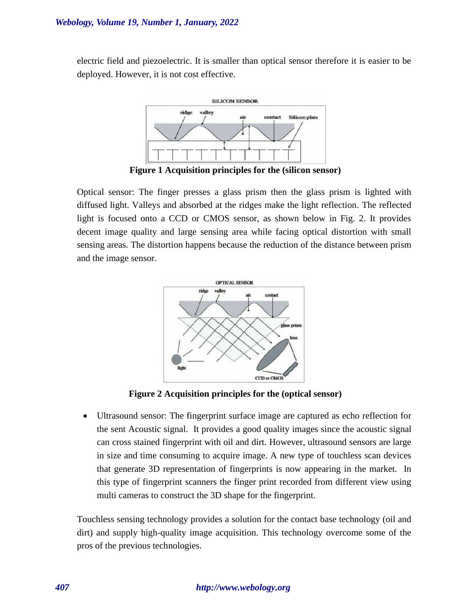electric field and piezoelectric. It is smaller than optical sensor therefore it is easier to be deployed. However, it is not cost effective.



**Figure 1 Acquisition principles for the (silicon sensor)**

Optical sensor: The finger presses a glass prism then the glass prism is lighted with diffused light. Valleys and absorbed at the ridges make the light reflection. The reflected light is focused onto a CCD or CMOS sensor, as shown below in Fig. 2. It provides decent image quality and large sensing area while facing optical distortion with small sensing areas. The distortion happens because the reduction of the distance between prism and the image sensor.



**Figure 2 Acquisition principles for the (optical sensor)**

• Ultrasound sensor: The fingerprint surface image are captured as echo reflection for the sent Acoustic signal. It provides a good quality images since the acoustic signal can cross stained fingerprint with oil and dirt. However, ultrasound sensors are large in size and time consuming to acquire image. A new type of touchless scan devices that generate 3D representation of fingerprints is now appearing in the market. In this type of fingerprint scanners the finger print recorded from different view using multi cameras to construct the 3D shape for the fingerprint.

Touchless sensing technology provides a solution for the contact base technology (oil and dirt) and supply high-quality image acquisition. This technology overcome some of the pros of the previous technologies.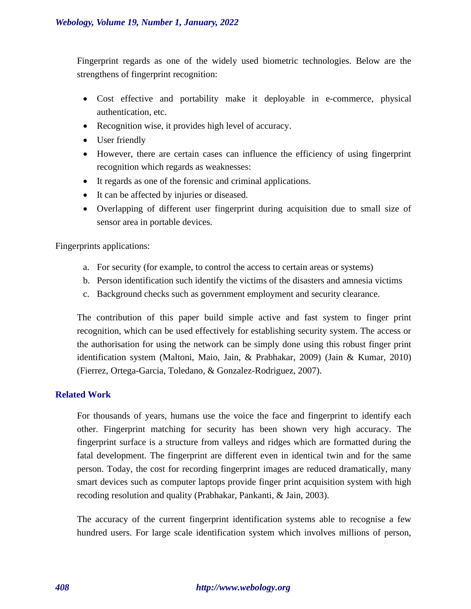Fingerprint regards as one of the widely used biometric technologies. Below are the strengthens of fingerprint recognition:

- Cost effective and portability make it deployable in e-commerce, physical authentication, etc.
- Recognition wise, it provides high level of accuracy.
- User friendly
- However, there are certain cases can influence the efficiency of using fingerprint recognition which regards as weaknesses:
- It regards as one of the forensic and criminal applications.
- It can be affected by injuries or diseased.
- Overlapping of different user fingerprint during acquisition due to small size of sensor area in portable devices.

Fingerprints applications:

- a. For security (for example, to control the access to certain areas or systems)
- b. Person identification such identify the victims of the disasters and amnesia victims
- c. Background checks such as government employment and security clearance.

The contribution of this paper build simple active and fast system to finger print recognition, which can be used effectively for establishing security system. The access or the authorisation for using the network can be simply done using this robust finger print identification system (Maltoni, Maio, Jain, & Prabhakar, 2009) (Jain & Kumar, 2010) (Fierrez, Ortega-Garcia, Toledano, & Gonzalez-Rodriguez, 2007).

# **Related Work**

For thousands of years, humans use the voice the face and fingerprint to identify each other. Fingerprint matching for security has been shown very high accuracy. The fingerprint surface is a structure from valleys and ridges which are formatted during the fatal development. The fingerprint are different even in identical twin and for the same person. Today, the cost for recording fingerprint images are reduced dramatically, many smart devices such as computer laptops provide finger print acquisition system with high recoding resolution and quality (Prabhakar, Pankanti, & Jain, 2003).

The accuracy of the current fingerprint identification systems able to recognise a few hundred users. For large scale identification system which involves millions of person,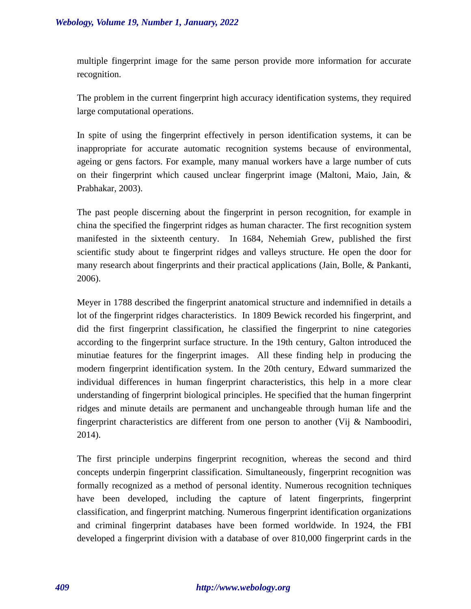multiple fingerprint image for the same person provide more information for accurate recognition.

The problem in the current fingerprint high accuracy identification systems, they required large computational operations.

In spite of using the fingerprint effectively in person identification systems, it can be inappropriate for accurate automatic recognition systems because of environmental, ageing or gens factors. For example, many manual workers have a large number of cuts on their fingerprint which caused unclear fingerprint image (Maltoni, Maio, Jain, & Prabhakar, 2003).

The past people discerning about the fingerprint in person recognition, for example in china the specified the fingerprint ridges as human character. The first recognition system manifested in the sixteenth century. In 1684, Nehemiah Grew, published the first scientific study about te fingerprint ridges and valleys structure. He open the door for many research about fingerprints and their practical applications (Jain, Bolle, & Pankanti, 2006).

Meyer in 1788 described the fingerprint anatomical structure and indemnified in details a lot of the fingerprint ridges characteristics. In 1809 Bewick recorded his fingerprint, and did the first fingerprint classification, he classified the fingerprint to nine categories according to the fingerprint surface structure. In the 19th century, Galton introduced the minutiae features for the fingerprint images. All these finding help in producing the modern fingerprint identification system. In the 20th century, Edward summarized the individual differences in human fingerprint characteristics, this help in a more clear understanding of fingerprint biological principles. He specified that the human fingerprint ridges and minute details are permanent and unchangeable through human life and the fingerprint characteristics are different from one person to another (Vij & Namboodiri, 2014).

The first principle underpins fingerprint recognition, whereas the second and third concepts underpin fingerprint classification. Simultaneously, fingerprint recognition was formally recognized as a method of personal identity. Numerous recognition techniques have been developed, including the capture of latent fingerprints, fingerprint classification, and fingerprint matching. Numerous fingerprint identification organizations and criminal fingerprint databases have been formed worldwide. In 1924, the FBI developed a fingerprint division with a database of over 810,000 fingerprint cards in the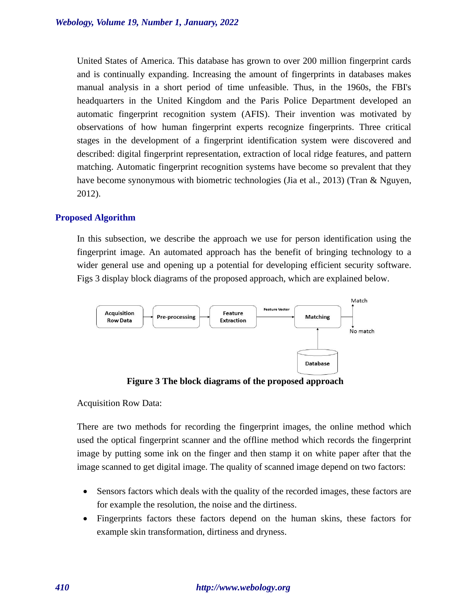United States of America. This database has grown to over 200 million fingerprint cards and is continually expanding. Increasing the amount of fingerprints in databases makes manual analysis in a short period of time unfeasible. Thus, in the 1960s, the FBI's headquarters in the United Kingdom and the Paris Police Department developed an automatic fingerprint recognition system (AFIS). Their invention was motivated by observations of how human fingerprint experts recognize fingerprints. Three critical stages in the development of a fingerprint identification system were discovered and described: digital fingerprint representation, extraction of local ridge features, and pattern matching. Automatic fingerprint recognition systems have become so prevalent that they have become synonymous with biometric technologies (Jia et al., 2013) (Tran & Nguyen, 2012).

# **Proposed Algorithm**

In this subsection, we describe the approach we use for person identification using the fingerprint image. An automated approach has the benefit of bringing technology to a wider general use and opening up a potential for developing efficient security software. Figs 3 display block diagrams of the proposed approach, which are explained below.



**Figure 3 The block diagrams of the proposed approach**

Acquisition Row Data:

There are two methods for recording the fingerprint images, the online method which used the optical fingerprint scanner and the offline method which records the fingerprint image by putting some ink on the finger and then stamp it on white paper after that the image scanned to get digital image. The quality of scanned image depend on two factors:

- Sensors factors which deals with the quality of the recorded images, these factors are for example the resolution, the noise and the dirtiness.
- Fingerprints factors these factors depend on the human skins, these factors for example skin transformation, dirtiness and dryness.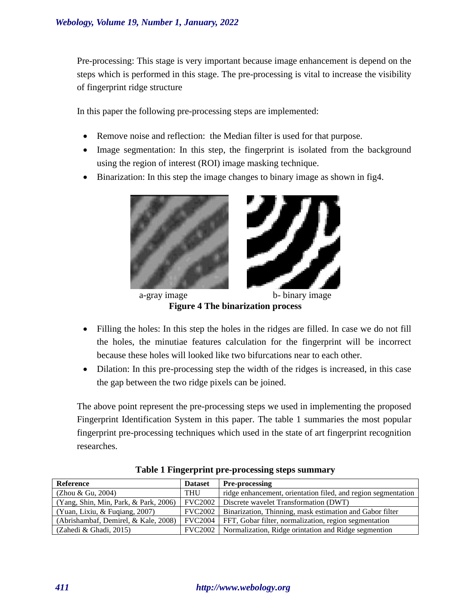Pre-processing: This stage is very important because image enhancement is depend on the steps which is performed in this stage. The pre-processing is vital to increase the visibility of fingerprint ridge structure

In this paper the following pre-processing steps are implemented:

- Remove noise and reflection: the Median filter is used for that purpose.
- Image segmentation: In this step, the fingerprint is isolated from the background using the region of interest (ROI) image masking technique.
- Binarization: In this step the image changes to binary image as shown in fig4.



a-gray image b- binary image **Figure 4 The binarization process**

- Filling the holes: In this step the holes in the ridges are filled. In case we do not fill the holes, the minutiae features calculation for the fingerprint will be incorrect because these holes will looked like two bifurcations near to each other.
- Dilation: In this pre-processing step the width of the ridges is increased, in this case the gap between the two ridge pixels can be joined.

The above point represent the pre-processing steps we used in implementing the proposed Fingerprint Identification System in this paper. The table 1 summaries the most popular fingerprint pre-processing techniques which used in the state of art fingerprint recognition researches.

| Reference                             | <b>Dataset</b> | <b>Pre-processing</b>                                         |
|---------------------------------------|----------------|---------------------------------------------------------------|
| (Zhou & Gu, 2004)                     | <b>THU</b>     | ridge enhancement, orientation filed, and region segmentation |
| (Yang, Shin, Min, Park, & Park, 2006) | <b>FVC2002</b> | Discrete wavelet Transformation (DWT)                         |
| (Yuan, Lixiu, & Fuqiang, 2007)        | <b>FVC2002</b> | Binarization, Thinning, mask estimation and Gabor filter      |
| (Abrishambaf, Demirel, & Kale, 2008)  | <b>FVC2004</b> | FFT, Gobar filter, normalization, region segmentation         |
| $(Zahedi \& Ghadi, 2015)$             | <b>FVC2002</b> | Normalization, Ridge orintation and Ridge segmention          |

**Table 1 Fingerprint pre-processing steps summary**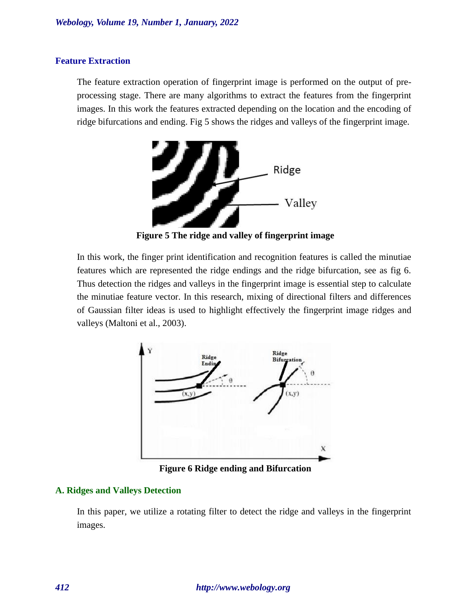# **Feature Extraction**

The feature extraction operation of fingerprint image is performed on the output of preprocessing stage. There are many algorithms to extract the features from the fingerprint images. In this work the features extracted depending on the location and the encoding of ridge bifurcations and ending. Fig 5 shows the ridges and valleys of the fingerprint image.



**Figure 5 The ridge and valley of fingerprint image**

In this work, the finger print identification and recognition features is called the minutiae features which are represented the ridge endings and the ridge bifurcation, see as fig 6. Thus detection the ridges and valleys in the fingerprint image is essential step to calculate the minutiae feature vector. In this research, mixing of directional filters and differences of Gaussian filter ideas is used to highlight effectively the fingerprint image ridges and valleys (Maltoni et al., 2003).



**Figure 6 Ridge ending and Bifurcation**

### **A. Ridges and Valleys Detection**

In this paper, we utilize a rotating filter to detect the ridge and valleys in the fingerprint images.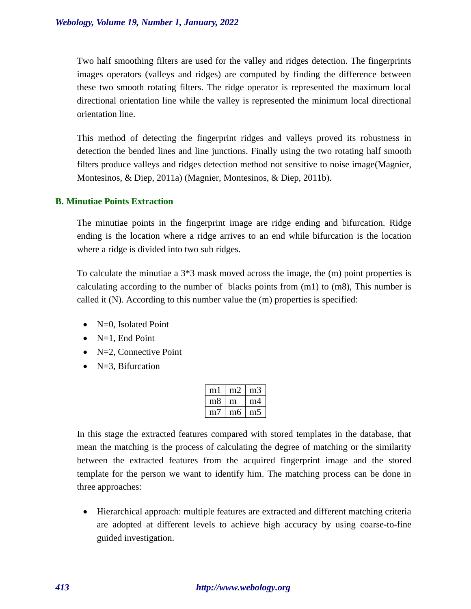Two half smoothing filters are used for the valley and ridges detection. The fingerprints images operators (valleys and ridges) are computed by finding the difference between these two smooth rotating filters. The ridge operator is represented the maximum local directional orientation line while the valley is represented the minimum local directional orientation line.

This method of detecting the fingerprint ridges and valleys proved its robustness in detection the bended lines and line junctions. Finally using the two rotating half smooth filters produce valleys and ridges detection method not sensitive to noise image(Magnier, Montesinos, & Diep, 2011a) (Magnier, Montesinos, & Diep, 2011b).

#### **B. Minutiae Points Extraction**

The minutiae points in the fingerprint image are ridge ending and bifurcation. Ridge ending is the location where a ridge arrives to an end while bifurcation is the location where a ridge is divided into two sub ridges.

To calculate the minutiae a 3\*3 mask moved across the image, the (m) point properties is calculating according to the number of blacks points from (m1) to (m8), This number is called it (N). According to this number value the (m) properties is specified:

- N=0, Isolated Point
- $\bullet$  N=1, End Point
- $\bullet$  N=2, Connective Point
- $N=3$ , Bifurcation

| m         | m' | m. |
|-----------|----|----|
| $m\delta$ | m  | m4 |
| m         | mб | m* |

In this stage the extracted features compared with stored templates in the database, that mean the matching is the process of calculating the degree of matching or the similarity between the extracted features from the acquired fingerprint image and the stored template for the person we want to identify him. The matching process can be done in three approaches:

• Hierarchical approach: multiple features are extracted and different matching criteria are adopted at different levels to achieve high accuracy by using coarse-to-fine guided investigation.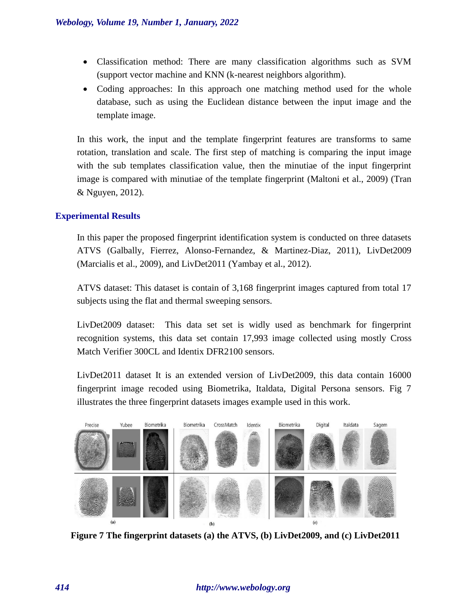- Classification method: There are many classification algorithms such as SVM (support vector machine and KNN (k-nearest neighbors algorithm).
- Coding approaches: In this approach one matching method used for the whole database, such as using the Euclidean distance between the input image and the template image.

In this work, the input and the template fingerprint features are transforms to same rotation, translation and scale. The first step of matching is comparing the input image with the sub templates classification value, then the minutiae of the input fingerprint image is compared with minutiae of the template fingerprint (Maltoni et al., 2009) (Tran & Nguyen, 2012).

# **Experimental Results**

In this paper the proposed fingerprint identification system is conducted on three datasets ATVS (Galbally, Fierrez, Alonso-Fernandez, & Martinez-Diaz, 2011), LivDet2009 (Marcialis et al., 2009), and LivDet2011 (Yambay et al., 2012).

ATVS dataset: This dataset is contain of 3,168 fingerprint images captured from total 17 subjects using the flat and thermal sweeping sensors.

LivDet2009 dataset: This data set set is widly used as benchmark for fingerprint recognition systems, this data set contain 17,993 image collected using mostly Cross Match Verifier 300CL and Identix DFR2100 sensors.

LivDet2011 dataset It is an extended version of LivDet2009, this data contain 16000 fingerprint image recoded using Biometrika, Italdata, Digital Persona sensors. Fig 7 illustrates the three fingerprint datasets images example used in this work.



**Figure 7 The fingerprint datasets (a) the ATVS, (b) LivDet2009, and (c) LivDet2011**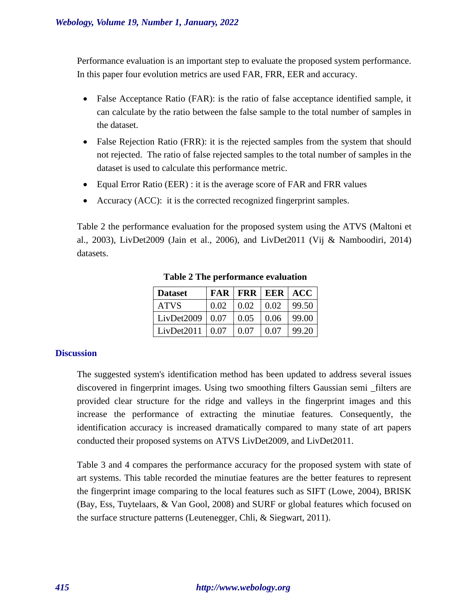Performance evaluation is an important step to evaluate the proposed system performance. In this paper four evolution metrics are used FAR, FRR, EER and accuracy.

- False Acceptance Ratio (FAR): is the ratio of false acceptance identified sample, it can calculate by the ratio between the false sample to the total number of samples in the dataset.
- False Rejection Ratio (FRR): it is the rejected samples from the system that should not rejected. The ratio of false rejected samples to the total number of samples in the dataset is used to calculate this performance metric.
- Equal Error Ratio (EER) : it is the average score of FAR and FRR values
- Accuracy (ACC): it is the corrected recognized fingerprint samples.

Table 2 the performance evaluation for the proposed system using the ATVS (Maltoni et al., 2003), LivDet2009 (Jain et al., 2006), and LivDet2011 (Vij & Namboodiri, 2014) datasets.

| <b>Dataset</b> | <b>FAR</b> |      | <b>FRR   EER  </b> | <b>ACC</b> |
|----------------|------------|------|--------------------|------------|
| <b>ATVS</b>    | 0.02       | 0.02 | 0.02               | 99.50      |
| LivDet2009     | $\pm 0.07$ | 0.05 | 0.06               | 99.00      |
| LivDet2011     | 0.07       | 0.07 | 0.07               | 99.20      |

**Table 2 The performance evaluation**

# **Discussion**

The suggested system's identification method has been updated to address several issues discovered in fingerprint images. Using two smoothing filters Gaussian semi \_filters are provided clear structure for the ridge and valleys in the fingerprint images and this increase the performance of extracting the minutiae features. Consequently, the identification accuracy is increased dramatically compared to many state of art papers conducted their proposed systems on ATVS LivDet2009, and LivDet2011.

Table 3 and 4 compares the performance accuracy for the proposed system with state of art systems. This table recorded the minutiae features are the better features to represent the fingerprint image comparing to the local features such as SIFT (Lowe, 2004), BRISK (Bay, Ess, Tuytelaars, & Van Gool, 2008) and SURF or global features which focused on the surface structure patterns (Leutenegger, Chli, & Siegwart, 2011).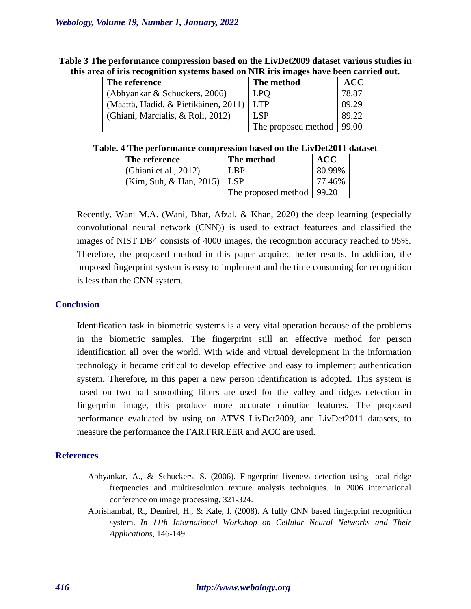| The reference                        | The method          | <b>ACC</b> |
|--------------------------------------|---------------------|------------|
| (Abhyankar & Schuckers, 2006)        | <b>LPO</b>          | 78.87      |
| (Määttä, Hadid, & Pietikäinen, 2011) | <b>T.TP</b>         | 89.29      |
| (Ghiani, Marcialis, & Roli, 2012)    | LSP                 | 89.22      |
|                                      | The proposed method | 99.00      |

**Table 3 The performance compression based on the LivDet2009 dataset various studies in this area of iris recognition systems based on NIR iris images have been carried out.**

**Table. 4 The performance compression based on the LivDet2011 dataset**

| The reference                 | The method                  | <b>ACC</b> |
|-------------------------------|-----------------------------|------------|
| (Ghiani et al., 2012)         | I RP                        | 80.99%     |
| (Kim, Suh, & Han, 2015)   LSP |                             | 77.46%     |
|                               | The proposed method   99.20 |            |

Recently, Wani M.A. (Wani, Bhat, Afzal, & Khan, 2020) the deep learning (especially convolutional neural network (CNN)) is used to extract featurees and classified the images of NIST DB4 consists of 4000 images, the recognition accuracy reached to 95%. Therefore, the proposed method in this paper acquired better results. In addition, the proposed fingerprint system is easy to implement and the time consuming for recognition is less than the CNN system.

## **Conclusion**

Identification task in biometric systems is a very vital operation because of the problems in the biometric samples. The fingerprint still an effective method for person identification all over the world. With wide and virtual development in the information technology it became critical to develop effective and easy to implement authentication system. Therefore, in this paper a new person identification is adopted. This system is based on two half smoothing filters are used for the valley and ridges detection in fingerprint image, this produce more accurate minutiae features. The proposed performance evaluated by using on ATVS LivDet2009, and LivDet2011 datasets, to measure the performance the FAR,FRR,EER and ACC are used.

### **References**

- Abhyankar, A., & Schuckers, S. (2006). Fingerprint liveness detection using local ridge frequencies and multiresolution texture analysis techniques. In 2006 international conference on image processing, 321-324.
- Abrishambaf, R., Demirel, H., & Kale, I. (2008). A fully CNN based fingerprint recognition system. *In 11th International Workshop on Cellular Neural Networks and Their Applications,* 146-149.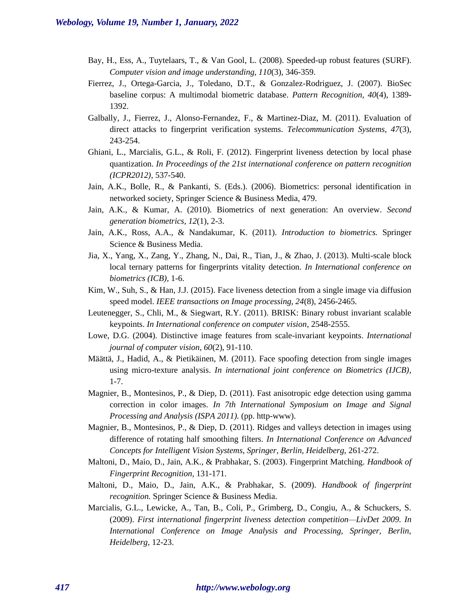- Bay, H., Ess, A., Tuytelaars, T., & Van Gool, L. (2008). Speeded-up robust features (SURF). *Computer vision and image understanding, 110*(3), 346-359.
- Fierrez, J., Ortega-Garcia, J., Toledano, D.T., & Gonzalez-Rodriguez, J. (2007). BioSec baseline corpus: A multimodal biometric database. *Pattern Recognition, 40*(4), 1389- 1392.
- Galbally, J., Fierrez, J., Alonso-Fernandez, F., & Martinez-Diaz, M. (2011). Evaluation of direct attacks to fingerprint verification systems. *Telecommunication Systems, 47*(3), 243-254.
- Ghiani, L., Marcialis, G.L., & Roli, F. (2012). Fingerprint liveness detection by local phase quantization. *In Proceedings of the 21st international conference on pattern recognition (ICPR2012),* 537-540.
- Jain, A.K., Bolle, R., & Pankanti, S. (Eds.). (2006). Biometrics: personal identification in networked society, Springer Science & Business Media, 479.
- Jain, A.K., & Kumar, A. (2010). Biometrics of next generation: An overview. *Second generation biometrics, 12*(1), 2-3.
- Jain, A.K., Ross, A.A., & Nandakumar, K. (2011). *Introduction to biometrics.* Springer Science & Business Media.
- Jia, X., Yang, X., Zang, Y., Zhang, N., Dai, R., Tian, J., & Zhao, J. (2013). Multi-scale block local ternary patterns for fingerprints vitality detection. *In International conference on biometrics (ICB),* 1-6.
- Kim, W., Suh, S., & Han, J.J. (2015). Face liveness detection from a single image via diffusion speed model. *IEEE transactions on Image processing, 24*(8), 2456-2465.
- Leutenegger, S., Chli, M., & Siegwart, R.Y. (2011). BRISK: Binary robust invariant scalable keypoints. *In International conference on computer vision,* 2548-2555.
- Lowe, D.G. (2004). Distinctive image features from scale-invariant keypoints. *International journal of computer vision, 60*(2), 91-110.
- Määttä, J., Hadid, A., & Pietikäinen, M. (2011). Face spoofing detection from single images using micro-texture analysis. *In international joint conference on Biometrics (IJCB),* 1-7.
- Magnier, B., Montesinos, P., & Diep, D. (2011). Fast anisotropic edge detection using gamma correction in color images. *In 7th International Symposium on Image and Signal Processing and Analysis (ISPA 2011).* (pp. http-www).
- Magnier, B., Montesinos, P., & Diep, D. (2011). Ridges and valleys detection in images using difference of rotating half smoothing filters. *In International Conference on Advanced Concepts for Intelligent Vision Systems, Springer, Berlin, Heidelberg,* 261-272.
- Maltoni, D., Maio, D., Jain, A.K., & Prabhakar, S. (2003). Fingerprint Matching. *Handbook of Fingerprint Recognition,* 131-171.
- Maltoni, D., Maio, D., Jain, A.K., & Prabhakar, S. (2009). *Handbook of fingerprint recognition.* Springer Science & Business Media.
- Marcialis, G.L., Lewicke, A., Tan, B., Coli, P., Grimberg, D., Congiu, A., & Schuckers, S. (2009). *First international fingerprint liveness detection competition—LivDet 2009. In International Conference on Image Analysis and Processing, Springer, Berlin, Heidelberg,* 12-23.